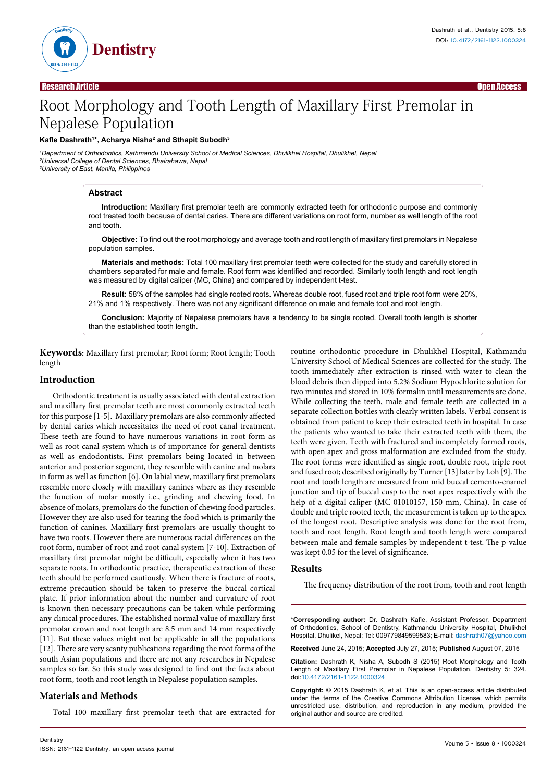

# Root Morphology and Tooth Length of Maxillary First Premolar in Nepalese Population

# **Kafle Dashrath<sup>1</sup> \*, Acharya Nisha2 and Sthapit Subodh3**

*1 Department of Orthodontics, Kathmandu University School of Medical Sciences, Dhulikhel Hospital, Dhulikhel, Nepal 2 Universal College of Dental Sciences, Bhairahawa, Nepal 3 University of East, Manila, Philippines*

#### **Abstract**

**Introduction:** Maxillary first premolar teeth are commonly extracted teeth for orthodontic purpose and commonly root treated tooth because of dental caries. There are different variations on root form, number as well length of the root and tooth.

**Objective:** To find out the root morphology and average tooth and root length of maxillary first premolars in Nepalese population samples.

**Materials and methods:** Total 100 maxillary first premolar teeth were collected for the study and carefully stored in chambers separated for male and female. Root form was identified and recorded. Similarly tooth length and root length was measured by digital caliper (MC, China) and compared by independent t-test.

**Result:** 58% of the samples had single rooted roots. Whereas double root, fused root and triple root form were 20%, 21% and 1% respectively. There was not any significant difference on male and female toot and root length.

**Conclusion:** Majority of Nepalese premolars have a tendency to be single rooted. Overall tooth length is shorter than the established tooth length.

**Keywords:** Maxillary first premolar; Root form; Root length; Tooth length

## **Introduction**

Orthodontic treatment is usually associated with dental extraction and maxillary first premolar teeth are most commonly extracted teeth for this purpose [1-5]. Maxillary premolars are also commonly affected by dental caries which necessitates the need of root canal treatment. These teeth are found to have numerous variations in root form as well as root canal system which is of importance for general dentists as well as endodontists. First premolars being located in between anterior and posterior segment, they resemble with canine and molars in form as well as function [6]. On labial view, maxillary first premolars resemble more closely with maxillary canines where as they resemble the function of molar mostly i.e., grinding and chewing food. In absence of molars, premolars do the function of chewing food particles. However they are also used for tearing the food which is primarily the function of canines. Maxillary first premolars are usually thought to have two roots. However there are numerous racial differences on the root form, number of root and root canal system [7-10]. Extraction of maxillary first premolar might be difficult, especially when it has two separate roots. In orthodontic practice, therapeutic extraction of these teeth should be performed cautiously. When there is fracture of roots, extreme precaution should be taken to preserve the buccal cortical plate. If prior information about the number and curvature of root is known then necessary precautions can be taken while performing any clinical procedures. The established normal value of maxillary first premolar crown and root length are 8.5 mm and 14 mm respectively [11]. But these values might not be applicable in all the populations [12]. There are very scanty publications regarding the root forms of the south Asian populations and there are not any researches in Nepalese samples so far. So this study was designed to find out the facts about root form, tooth and root length in Nepalese population samples.

# **Materials and Methods**

Total 100 maxillary first premolar teeth that are extracted for

routine orthodontic procedure in Dhulikhel Hospital, Kathmandu University School of Medical Sciences are collected for the study. The tooth immediately after extraction is rinsed with water to clean the blood debris then dipped into 5.2% Sodium Hypochlorite solution for two minutes and stored in 10% formalin until measurements are done. While collecting the teeth, male and female teeth are collected in a separate collection bottles with clearly written labels. Verbal consent is obtained from patient to keep their extracted teeth in hospital. In case the patients who wanted to take their extracted teeth with them, the teeth were given. Teeth with fractured and incompletely formed roots, with open apex and gross malformation are excluded from the study. The root forms were identified as single root, double root, triple root and fused root; described originally by Turner [13] later by Loh [9]. The root and tooth length are measured from mid buccal cemento-enamel junction and tip of buccal cusp to the root apex respectively with the help of a digital caliper (MC 01010157, 150 mm, China). In case of double and triple rooted teeth, the measurement is taken up to the apex of the longest root. Descriptive analysis was done for the root from, tooth and root length. Root length and tooth length were compared between male and female samples by independent t-test. The p-value was kept 0.05 for the level of significance.

# **Results**

The frequency distribution of the root from, tooth and root length

**\*Corresponding author:** Dr. Dashrath Kafle, Assistant Professor, Department of Orthodontics, School of Dentistry, Kathmandu University Hospital, Dhulikhel Hospital, Dhulikel, Nepal; Tel: 009779849599583; E-mail: dashrath07@yahoo.com

**Received** June 24, 2015; **Accepted** July 27, 2015; **Published** August 07, 2015

**Citation:** Dashrath K, Nisha A, Subodh S (2015) Root Morphology and Tooth Length of Maxillary First Premolar in Nepalese Population. Dentistry 5: 324. doi:10.4172/2161-1122.1000324

**Copyright:** © 2015 Dashrath K, et al. This is an open-access article distributed under the terms of the Creative Commons Attribution License, which permits unrestricted use, distribution, and reproduction in any medium, provided the original author and source are credited.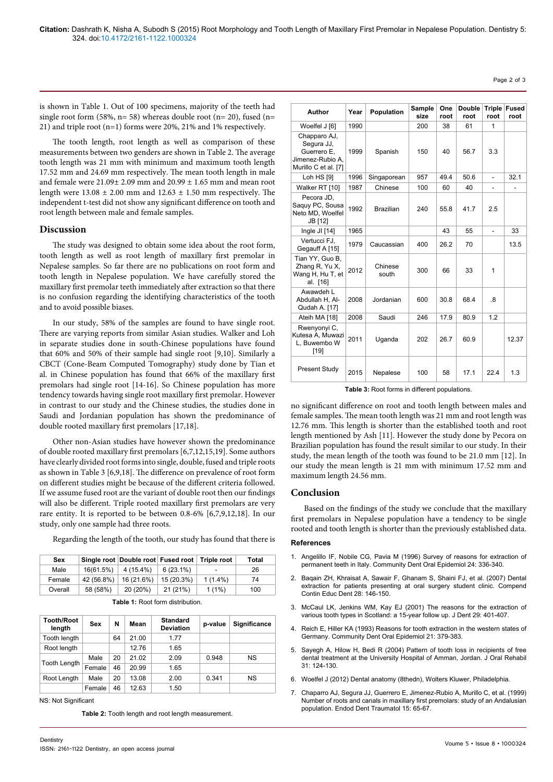is shown in Table 1. Out of 100 specimens, majority of the teeth had single root form (58%,  $n= 58$ ) whereas double root ( $n= 20$ ), fused ( $n=$ 21) and triple root (n=1) forms were 20%, 21% and 1% respectively.

The tooth length, root length as well as comparison of these measurements between two genders are shown in Table 2. The average tooth length was 21 mm with minimum and maximum tooth length 17.52 mm and 24.69 mm respectively. The mean tooth length in male and female were 21.09± 2.09 mm and 20.99 ± 1.65 mm and mean root length were  $13.08 \pm 2.00$  mm and  $12.63 \pm 1.50$  mm respectively. The independent t-test did not show any significant difference on tooth and root length between male and female samples.

## **Discussion**

The study was designed to obtain some idea about the root form, tooth length as well as root length of maxillary first premolar in Nepalese samples. So far there are no publications on root form and tooth length in Nepalese population. We have carefully stored the maxillary first premolar teeth immediately after extraction so that there is no confusion regarding the identifying characteristics of the tooth and to avoid possible biases.

In our study, 58% of the samples are found to have single root. There are varying reports from similar Asian studies. Walker and Loh in separate studies done in south-Chinese populations have found that 60% and 50% of their sample had single root [9,10]. Similarly a CBCT (Cone-Beam Computed Tomography) study done by Tian et al. in Chinese population has found that 66% of the maxillary first premolars had single root [14-16]. So Chinese population has more tendency towards having single root maxillary first premolar. However in contrast to our study and the Chinese studies, the studies done in Saudi and Jordanian population has shown the predominance of double rooted maxillary first premolars [17,18].

Other non-Asian studies have however shown the predominance of double rooted maxillary first premolars [6,7,12,15,19]. Some authors have clearly divided root forms into single, double, fused and triple roots as shown in Table 3 [6,9,18]. The difference on prevalence of root form on different studies might be because of the different criteria followed. If we assume fused root are the variant of double root then our findings will also be different. Triple rooted maxillary first premolars are very rare entity. It is reported to be between 0.8-6% [6,7,9,12,18]. In our study, only one sample had three roots.

Regarding the length of the tooth, our study has found that there is

| 16(61.5%)<br>4 (15.4%)<br>Male<br>$6(23.1\%)$<br>26<br>۰<br>42 (56.8%)<br>16 (21.6%)<br>15 (20.3%)<br>$1(1.4\%)$<br>Female<br>74 | <b>Sex</b> |          | Single root Double root Fused root |          | <b>Triple root</b> | Total |
|----------------------------------------------------------------------------------------------------------------------------------|------------|----------|------------------------------------|----------|--------------------|-------|
|                                                                                                                                  |            |          |                                    |          |                    |       |
|                                                                                                                                  |            |          |                                    |          |                    |       |
|                                                                                                                                  | Overall    | 58 (58%) | 20 (20%)                           | 21 (21%) | $1(1\%)$           | 100   |

|  |  |  |  | <b>Table 1: Root form distribution.</b> |  |
|--|--|--|--|-----------------------------------------|--|
|--|--|--|--|-----------------------------------------|--|

| <b>Tooth/Root</b><br>length | Sex    | N  | Mean  | <b>Standard</b><br><b>Deviation</b> | p-value | <b>Significance</b> |
|-----------------------------|--------|----|-------|-------------------------------------|---------|---------------------|
| Tooth length                |        | 64 | 21.00 | 1.77                                |         |                     |
| Root length                 |        |    | 12.76 | 1.65                                |         |                     |
| <b>Tooth Length</b>         | Male   | 20 | 21.02 | 2.09                                | 0.948   | NS                  |
|                             | Female | 46 | 20.99 | 1.65                                |         |                     |
| Root Length                 | Male   | 20 | 13.08 | 2.00                                | 0.341   | NS                  |
|                             | Female | 46 | 12.63 | 1.50                                |         |                     |

NS: Not Significant

**Table 2:** Tooth length and root length measurement.

| Author                                                                                | Year | Population       | Sample<br>size | One<br>root | <b>Double</b><br>root | <b>Triple</b><br>root    | <b>Fused</b><br>root |
|---------------------------------------------------------------------------------------|------|------------------|----------------|-------------|-----------------------|--------------------------|----------------------|
| Woelfel J [6]                                                                         | 1990 |                  | 200            | 38          | 61                    | 1                        |                      |
| Chapparo AJ,<br>Segura JJ,<br>Guerrero E,<br>Jimenez-Rubio A.<br>Murillo C et al. [7] | 1999 | Spanish          | 150            | 40          | 56.7                  | 3.3                      |                      |
| <b>Loh HS [9]</b>                                                                     | 1996 | Singaporean      | 957            | 49.4        | 50.6                  | ÷,                       | 32.1                 |
| Walker RT [10]                                                                        | 1987 | Chinese          | 100            | 60          | 40                    |                          |                      |
| Pecora JD,<br>Saquy PC, Sousa<br>Neto MD, Woelfel<br>JB [12]                          | 1992 | <b>Brazilian</b> | 240            | 55.8        | 41.7                  | 2.5                      |                      |
| Ingle $JI [14]$                                                                       | 1965 |                  |                | 43          | 55                    | $\overline{\phantom{0}}$ | 33                   |
| Vertucci FJ.<br>Gegauff A [15]                                                        | 1979 | Caucassian       | 400            | 26.2        | 70                    |                          | 13.5                 |
| Tian YY, Guo B,<br>Zhang R, Yu X,<br>Wang H, Hu T, et<br>al. [16]                     | 2012 | Chinese<br>south | 300            | 66          | 33                    | 1                        |                      |
| Awawdeh L<br>Abdullah H, Al-<br>Qudah A. [17]                                         | 2008 | Jordanian        | 600            | 30.8        | 68.4                  | .8                       |                      |
| Ateih MA [18]                                                                         | 2008 | Saudi            | 246            | 17.9        | 80.9                  | 1.2                      |                      |
| Rwenyonyi C,<br>Kutesa A, Muwazi<br>L. Buwembo W<br>$[19]$                            | 2011 | Uganda           | 202            | 26.7        | 60.9                  |                          | 12.37                |
| <b>Present Study</b>                                                                  | 2015 | Nepalese         | 100            | 58          | 17.1                  | 22.4                     | 1.3                  |

**Table 3:** Root forms in different populations.

no significant difference on root and tooth length between males and female samples. The mean tooth length was 21 mm and root length was 12.76 mm. This length is shorter than the established tooth and root length mentioned by Ash [11]. However the study done by Pecora on Brazilian population has found the result similar to our study. In their study, the mean length of the tooth was found to be 21.0 mm [12]. In our study the mean length is 21 mm with minimum 17.52 mm and maximum length 24.56 mm.

#### **Conclusion**

Based on the findings of the study we conclude that the maxillary first premolars in Nepalese population have a tendency to be single rooted and tooth length is shorter than the previously established data.

#### **References**

- 1. [Angelillo IF, Nobile CG, Pavia M \(1996\) Survey of reasons for extraction of](http://www.ncbi.nlm.nih.gov/pubmed/8954220)  [permanent teeth in Italy. Community Dent Oral Epidemiol 24: 336-340.](http://www.ncbi.nlm.nih.gov/pubmed/8954220)
- 2. [Baqain ZH, Khraisat A, Sawair F, Ghanam S, Shaini FJ, et al. \(2007\) Dental](http://www.ncbi.nlm.nih.gov/pubmed/17385396)  [extraction for patients presenting at oral surgery student clinic. Compend](http://www.ncbi.nlm.nih.gov/pubmed/17385396)  [Contin Educ Dent 28: 146-150.](http://www.ncbi.nlm.nih.gov/pubmed/17385396)
- 3. [McCaul LK, Jenkins WM, Kay EJ \(2001\) The reasons for the extraction of](http://www.ncbi.nlm.nih.gov/pubmed/11520588)  [various tooth types in Scotland: a 15-year follow up. J Dent 29: 401-407.](http://www.ncbi.nlm.nih.gov/pubmed/11520588)
- 4. [Reich E, Hiller KA \(1993\) Reasons for tooth extraction in the western states of](http://www.ncbi.nlm.nih.gov/pubmed/8306617)  [Germany. Community Dent Oral Epidemiol 21: 379-383.](http://www.ncbi.nlm.nih.gov/pubmed/8306617)
- 5. [Sayegh A, Hilow H, Bedi R \(2004\) Pattern of tooth loss in recipients of free](http://www.ncbi.nlm.nih.gov/pubmed/15009595)  [dental treatment at the University Hospital of Amman, Jordan. J Oral Rehabil](http://www.ncbi.nlm.nih.gov/pubmed/15009595)  [31: 124-130.](http://www.ncbi.nlm.nih.gov/pubmed/15009595)
- 6. Woelfel J (2012) Dental anatomy (8thedn), Wolters Kluwer, Philadelphia.
- 7. [Chaparro AJ, Segura JJ, Guerrero E, Jimenez-Rubio A, Murillo C, et al. \(1999\)](http://www.ncbi.nlm.nih.gov/pubmed/10379274)  [Number of roots and canals in maxillary first premolars: study of an Andalusian](http://www.ncbi.nlm.nih.gov/pubmed/10379274)  [population. Endod Dent Traumatol 15: 65-67.](http://www.ncbi.nlm.nih.gov/pubmed/10379274)

Page 2 of 3